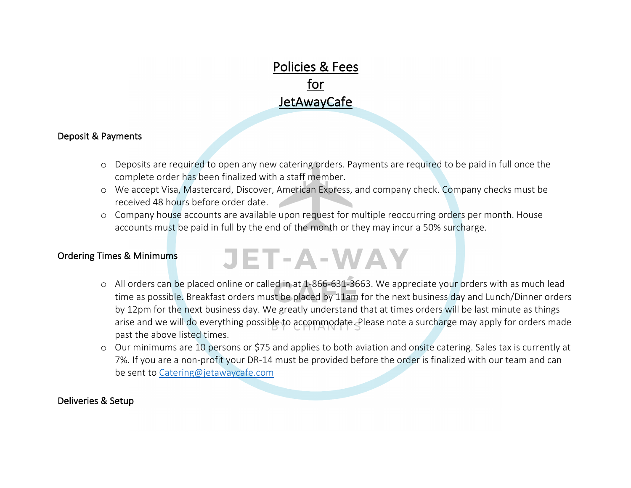## Policies & Fees for **JetAwayCafe**

#### Deposit & Payments

- o Deposits are required to open any new catering orders. Payments are required to be paid in full once the complete order has been finalized with a staff member.
- o We accept Visa, Mastercard, Discover, American Express, and company check. Company checks must be received 48 hours before order date.
- o Company house accounts are available upon request for multiple reoccurring orders per month. House accounts must be paid in full by the end of the month or they may incur a 50% surcharge.

#### Ordering Times & Minimums

# **JET-A-WAY**

- o All orders can be placed online or called in at 1-866-631-3663. We appreciate your orders with as much lead time as possible. Breakfast orders must be placed by 11am for the next business day and Lunch/Dinner orders by 12pm for the next business day. We greatly understand that at times orders will be last minute as things arise and we will do everything possible to accommodate. Please note a surcharge may apply for orders made past the above listed times.
- o Our minimums are 10 persons or \$75 and applies to both aviation and onsite catering. Sales tax is currently at 7%. If you are a non-profit your DR-14 must be provided before the order is finalized with our team and can be sent to Catering@jetawaycafe.com

#### Deliveries & Setup